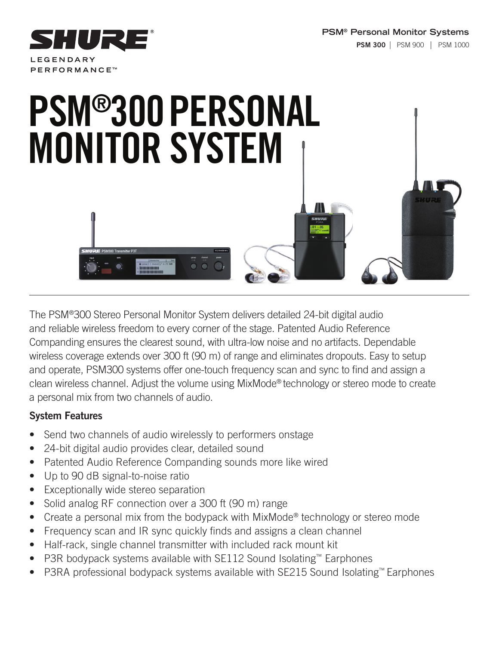

# PSM®300PERSONAL MONITOR SYSTEM

The PSM®300 Stereo Personal Monitor System delivers detailed 24-bit digital audio and reliable wireless freedom to every corner of the stage. Patented Audio Reference Companding ensures the clearest sound, with ultra-low noise and no artifacts. Dependable wireless coverage extends over 300 ft (90 m) of range and eliminates dropouts. Easy to setup and operate, PSM300 systems offer one-touch frequency scan and sync to find and assign a clean wireless channel. Adjust the volume using MixMode® technology or stereo mode to create a personal mix from two channels of audio.

# System Features

- Send two channels of audio wirelessly to performers onstage
- 24-bit digital audio provides clear, detailed sound
- Patented Audio Reference Companding sounds more like wired
- Up to 90 dB signal-to-noise ratio
- **Exceptionally wide stereo separation**
- Solid analog RF connection over a 300 ft (90 m) range
- Create a personal mix from the bodypack with MixMode® technology or stereo mode
- Frequency scan and IR sync quickly finds and assigns a clean channel
- Half-rack, single channel transmitter with included rack mount kit
- P3R bodypack systems available with SE112 Sound Isolating™ Earphones
- P3RA professional bodypack systems available with SE215 Sound Isolating™ Earphones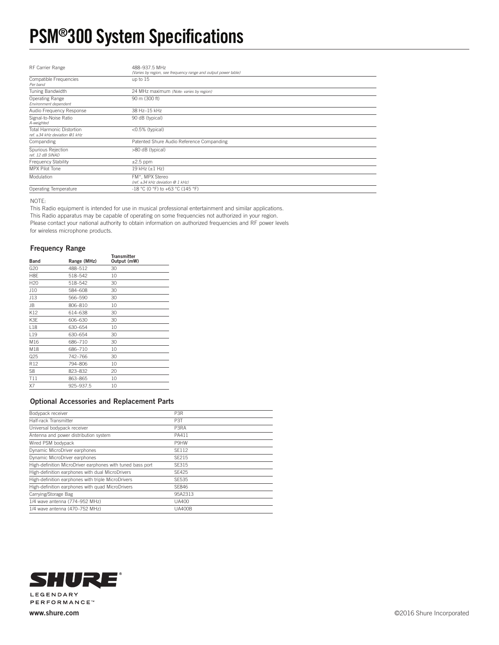# PSM®300 System Specifications

| RF Carrier Range                                                | 488-937.5 MHz<br>(Varies by region, see frequency range and output power table) |
|-----------------------------------------------------------------|---------------------------------------------------------------------------------|
| Compatible Frequencies<br>Per band                              | up to 15                                                                        |
| Tuning Bandwidth                                                | 24 MHz maximum (Note: varies by region)                                         |
| Operating Range<br>Environment dependent                        | 90 m (300 ft)                                                                   |
| Audio Frequency Response                                        | 38 Hz-15 kHz                                                                    |
| Signal-to-Noise Ratio<br>A-weighted                             | 90 dB (typical)                                                                 |
| Total Harmonic Distortion<br>ref. $\pm 34$ kHz deviation @1 kHz | <0.5% (typical)                                                                 |
| Companding                                                      | Patented Shure Audio Reference Companding                                       |
| Spurious Rejection<br>ref. 12 dB SINAD                          | >80 dB (typical)                                                                |
| <b>Frequency Stability</b>                                      | $\pm 2.5$ ppm                                                                   |
| MPX Pilot Tone                                                  | 19 $kHz$ ( $\pm$ 1 Hz)                                                          |
| Modulation                                                      | FM*, MPX Stereo<br>(ref. $\pm 34$ kHz deviation @ 1 kHz)                        |
| Operating Temperature                                           | -18 °C (0 °F) to +63 °C (145 °F)                                                |

NOTE:

This Radio equipment is intended for use in musical professional entertainment and similar applications. This Radio apparatus may be capable of operating on some frequencies not authorized in your region. Please contact your national authority to obtain information on authorized frequencies and RF power levels for wireless microphone products.

#### Frequency Range

| . .             | . .         |                                   |
|-----------------|-------------|-----------------------------------|
| <b>Band</b>     | Range (MHz) | <b>Transmitter</b><br>Output (mW) |
| G20             | 488-512     | 30                                |
| H8E             | 518-542     | 10                                |
| H <sub>20</sub> | 518-542     | 30                                |
| J10             | 584-608     | 30                                |
| J13             | 566-590     | 30                                |
| <b>JB</b>       | 806-810     | 10                                |
| K12             | 614-638     | 30                                |
| K3E             | 606-630     | 30                                |
| L18             | 630-654     | 10                                |
| L <sub>19</sub> | 630-654     | 30                                |
| M16             | 686-710     | 30                                |
| M18             | 686-710     | 10                                |
| Q25             | 742–766     | 30                                |
| R12             | 794-806     | 10                                |
| S8              | 823-832     | 20                                |
| T11             | 863-865     | 10                                |
| X7              | 925-937.5   | 10                                |
|                 |             |                                   |

#### Optional Accessories and Replacement Parts

| Bodypack receiver                                          | P <sub>3R</sub>   |
|------------------------------------------------------------|-------------------|
| Half-rack Transmitter                                      | P3T               |
| Universal bodypack receiver                                | P <sub>3</sub> RA |
| Antenna and power distribution system                      | PA411             |
| Wired PSM bodypack                                         | P9HW              |
| Dynamic MicroDriver earphones                              | SF112             |
| Dynamic MicroDriver earphones                              | SF215             |
| High-definition MicroDriver earphones with tuned bass port | SF315             |
| High-definition earphones with dual MicroDrivers           | SF425             |
| High-definition earphones with triple MicroDrivers         | SE535             |
| High-definition earphones with quad MicroDrivers           | SF846             |
| Carrying/Storage Bag                                       | 95A2313           |
| 1/4 wave antenna (774-952 MHz)                             | UA400             |
| 1/4 wave antenna (470-752 MHz)                             | <b>UA400B</b>     |

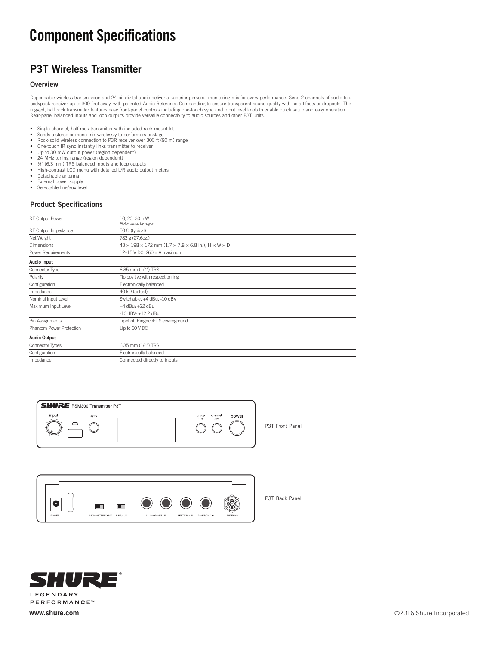## P3T Wireless Transmitter

#### **Overview**

Dependable wireless transmission and 24-bit digital audio deliver a superior personal monitoring mix for every performance. Send 2 channels of audio to a<br>bodypack receiver up to 300 feet away, with patented Audio Reference Rear-panel balanced inputs and loop outputs provide versatile connectivity to audio sources and other P3T units.

- Single channel, half-rack transmitter with included rack mount kit<br>• Sends a stereo or mono mix wirelessly to performers onstage
- Sends a stereo or mono mix wirelessly to performers onstage Rock-solid wireless connection to P3R receiver over 300 ft (90 m) range
- 
- One-touch IR sync instantly links transmitter to receiver<br>• Un to 30 mW output nower (region dependent) Up to 30 mW output power (region dependent)
- 24 MHz tuning range (region dependent)
- 
- ¼" (6.3 mm) TRS balanced inputs and loop outputs High-contrast LCD menu with detailed L/R audio output meters
- 
- Detachable antenna External power supply
- Selectable line/aux level

#### Product Specifications

| RF Output Power          | 10, 20, 30 mW                                                                           |
|--------------------------|-----------------------------------------------------------------------------------------|
|                          | Note: varies by region                                                                  |
| RF Output Impedance      | 50 $\Omega$ (typical)                                                                   |
| Net Weight               | 783 g (27.6oz.)                                                                         |
| Dimensions               | $43 \times 198 \times 172$ mm ( $1.7 \times 7.8 \times 6.8$ in.), $H \times W \times D$ |
| Power Requirements       | 12-15 V DC, 260 mA maximum                                                              |
| Audio Input              |                                                                                         |
| Connector Type           | 6.35 mm (1/4") TRS                                                                      |
| Polarity                 | Tip positive with respect to ring                                                       |
| Configuration            | Electronically balanced                                                                 |
| Impedance                | 40 kΩ (actual)                                                                          |
| Nominal Input Level      | Switchable, +4 dBu, -10 dBV                                                             |
| Maximum Input Level      | +4 dBu: +22 dBu                                                                         |
|                          | $-10$ dBV: $+12.2$ dBu                                                                  |
| Pin Assignments          | Tip=hot, Ring=cold, Sleeve=ground                                                       |
| Phantom Power Protection | Up to 60 V DC                                                                           |
| <b>Audio Output</b>      |                                                                                         |
| Connector Types          | 6.35 mm (1/4") TRS                                                                      |
| Configuration            | Electronically balanced                                                                 |
| Impedance                | Connected directly to inputs                                                            |
|                          |                                                                                         |



P3T Front Panel



If 77 S **LEGENDARY PERFORMANCE™**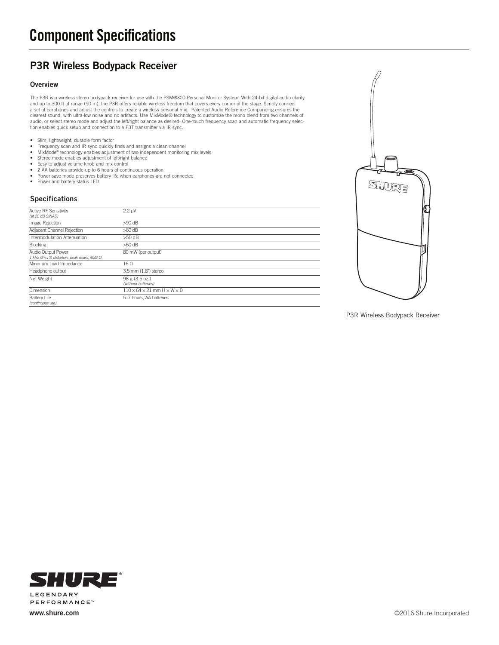# Component Specifications

## P3R Wireless Bodypack Receiver

#### **Overview**

The P3R is a wireless stereo bodypack receiver for use with the PSM®300 Personal Monitor System. With 24-bit digital audio clarity and up to 300 ft of range (90 m), the P3R offers reliable wireless freedom that covers every corner of the stage. Simply connect<br>a set of earphones and adjust the controls to create a wireless personal mix. Patented Audio clearest sound, with ultra-low noise and no artifacts. Use MixMode® technology to customize the mono blend from two channels of audio, or select stereo mode and adjust the left/right balance as desired. One-touch frequency scan and automatic frequency selec-tion enables quick setup and connection to a P3T transmitter via IR sync.

- Slim, lightweight, durable form factor
- Frequency scan and IR sync quickly finds and assigns a clean channel
- MixMode® technology enables adjustment of two independent monitoring mix levels
- Stereo mode enables adjustment of left/right balance
- Easy to adjust volume knob and mix control 2 AA batteries provide up to 6 hours of continuous operation
- Power save mode preserves battery life when earphones are not connected
- Power save mode preserves ba<br>• Power and battery status LED

#### Specifications

| Active RF Sensitivity<br>(at 20 dB SINAD)                                | $2.2 \mu V$                                        |
|--------------------------------------------------------------------------|----------------------------------------------------|
| Image Rejection                                                          | $>90$ dB                                           |
| Adjacent Channel Rejection                                               | $>60$ dB                                           |
| Intermodulation Attenuation                                              | $>50$ dB                                           |
| <b>Blocking</b>                                                          | $>60$ dB                                           |
| Audio Output Power<br>$1$ kHz @ <1% distortion, peak power, @32 $\Omega$ | 80 mW (per output)                                 |
| Minimum Load Impedance                                                   | $16 \Omega$                                        |
| Headphone output                                                         | 3.5 mm (1.8") stereo                               |
| Net Weight                                                               | 98 g (3.5 oz.)<br>(without batteries)              |
| Dimension                                                                | $110 \times 64 \times 21$ mm $H \times W \times D$ |
| <b>Battery Life</b><br>(continuous use)                                  | 5-7 hours, AA batteries                            |



P3R Wireless Bodypack Receiver